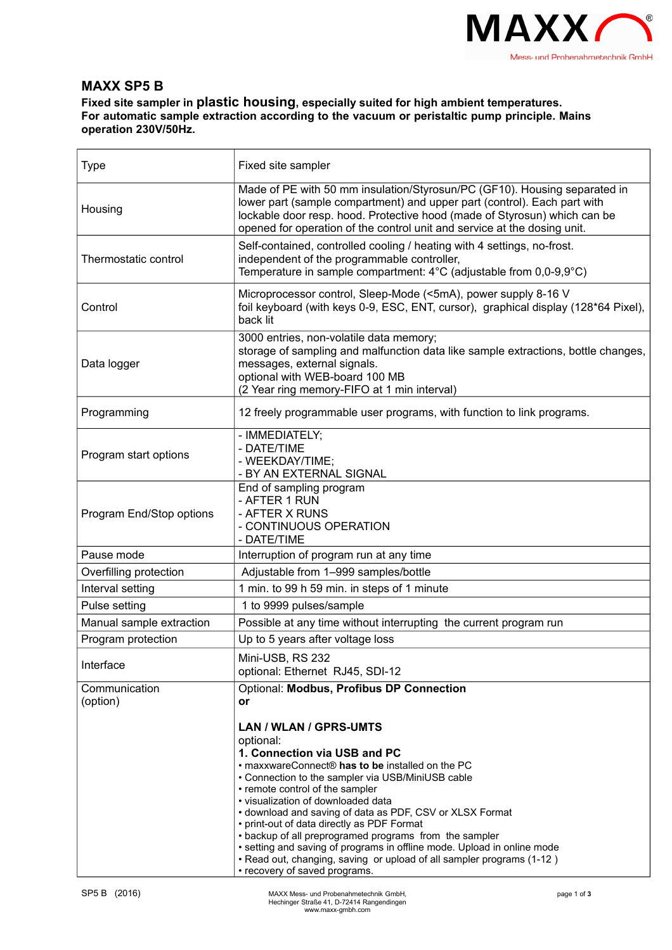

## **MAXX SP5 B**

**Fixed site sampler in plastic housing, especially suited for high ambient temperatures. For automatic sample extraction according to the vacuum or peristaltic pump principle. Mains operation 230V/50Hz.**

| <b>Type</b>               | Fixed site sampler                                                                                                                                                                                                                                                                                                                                                                                                                                                                                                                                                                                             |
|---------------------------|----------------------------------------------------------------------------------------------------------------------------------------------------------------------------------------------------------------------------------------------------------------------------------------------------------------------------------------------------------------------------------------------------------------------------------------------------------------------------------------------------------------------------------------------------------------------------------------------------------------|
| Housing                   | Made of PE with 50 mm insulation/Styrosun/PC (GF10). Housing separated in<br>lower part (sample compartment) and upper part (control). Each part with<br>lockable door resp. hood. Protective hood (made of Styrosun) which can be<br>opened for operation of the control unit and service at the dosing unit.                                                                                                                                                                                                                                                                                                 |
| Thermostatic control      | Self-contained, controlled cooling / heating with 4 settings, no-frost.<br>independent of the programmable controller,<br>Temperature in sample compartment: $4^{\circ}$ C (adjustable from 0,0-9,9 $^{\circ}$ C)                                                                                                                                                                                                                                                                                                                                                                                              |
| Control                   | Microprocessor control, Sleep-Mode (<5mA), power supply 8-16 V<br>foil keyboard (with keys 0-9, ESC, ENT, cursor), graphical display (128*64 Pixel),<br>back lit                                                                                                                                                                                                                                                                                                                                                                                                                                               |
| Data logger               | 3000 entries, non-volatile data memory;<br>storage of sampling and malfunction data like sample extractions, bottle changes,<br>messages, external signals.<br>optional with WEB-board 100 MB<br>(2 Year ring memory-FIFO at 1 min interval)                                                                                                                                                                                                                                                                                                                                                                   |
| Programming               | 12 freely programmable user programs, with function to link programs.                                                                                                                                                                                                                                                                                                                                                                                                                                                                                                                                          |
| Program start options     | - IMMEDIATELY;<br>- DATE/TIME<br>- WEEKDAY/TIME;<br>- BY AN EXTERNAL SIGNAL                                                                                                                                                                                                                                                                                                                                                                                                                                                                                                                                    |
| Program End/Stop options  | End of sampling program<br>- AFTER 1 RUN<br>- AFTER X RUNS<br>- CONTINUOUS OPERATION<br>- DATE/TIME                                                                                                                                                                                                                                                                                                                                                                                                                                                                                                            |
| Pause mode                | Interruption of program run at any time                                                                                                                                                                                                                                                                                                                                                                                                                                                                                                                                                                        |
| Overfilling protection    | Adjustable from 1-999 samples/bottle                                                                                                                                                                                                                                                                                                                                                                                                                                                                                                                                                                           |
| Interval setting          | 1 min. to 99 h 59 min. in steps of 1 minute                                                                                                                                                                                                                                                                                                                                                                                                                                                                                                                                                                    |
| Pulse setting             | 1 to 9999 pulses/sample                                                                                                                                                                                                                                                                                                                                                                                                                                                                                                                                                                                        |
| Manual sample extraction  | Possible at any time without interrupting the current program run                                                                                                                                                                                                                                                                                                                                                                                                                                                                                                                                              |
| Program protection        | Up to 5 years after voltage loss                                                                                                                                                                                                                                                                                                                                                                                                                                                                                                                                                                               |
| Interface                 | Mini-USB, RS 232<br>optional: Ethernet RJ45, SDI-12                                                                                                                                                                                                                                                                                                                                                                                                                                                                                                                                                            |
| Communication<br>(option) | Optional: Modbus, Profibus DP Connection<br>or                                                                                                                                                                                                                                                                                                                                                                                                                                                                                                                                                                 |
|                           | LAN / WLAN / GPRS-UMTS<br>optional:<br>1. Connection via USB and PC<br>• maxxwareConnect® has to be installed on the PC<br>• Connection to the sampler via USB/MiniUSB cable<br>• remote control of the sampler<br>· visualization of downloaded data<br>• download and saving of data as PDF, CSV or XLSX Format<br>• print-out of data directly as PDF Format<br>• backup of all preprogramed programs from the sampler<br>• setting and saving of programs in offline mode. Upload in online mode<br>. Read out, changing, saving or upload of all sampler programs (1-12)<br>• recovery of saved programs. |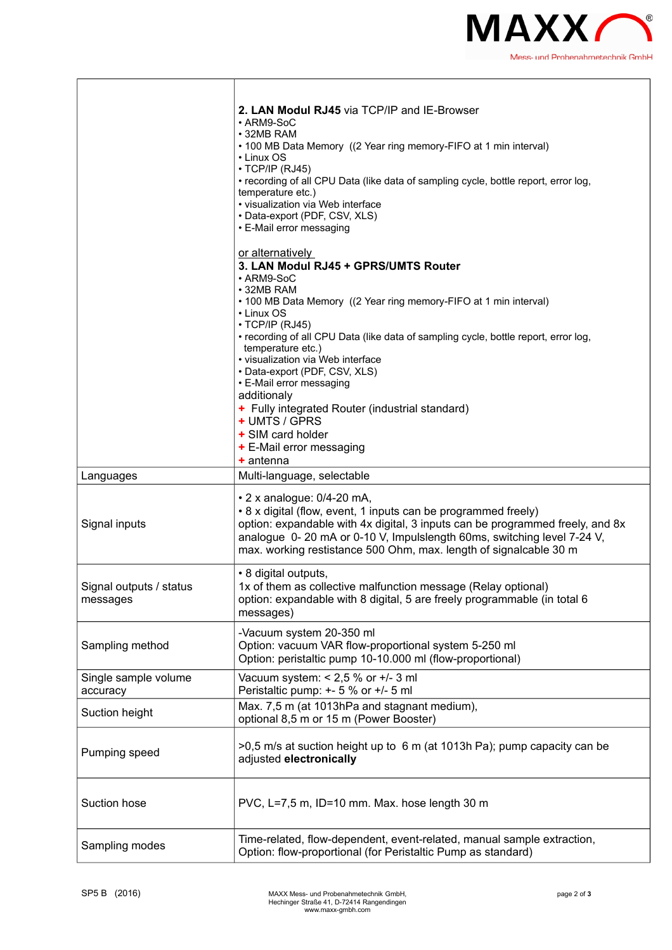

|                                     | 2. LAN Modul RJ45 via TCP/IP and IE-Browser<br>• ARM9-SoC<br>• 32MB RAM<br>• 100 MB Data Memory ((2 Year ring memory-FIFO at 1 min interval)<br>• Linux OS<br>· TCP/IP (RJ45)<br>• recording of all CPU Data (like data of sampling cycle, bottle report, error log,<br>temperature etc.)<br>• visualization via Web interface<br>• Data-export (PDF, CSV, XLS)<br>• E-Mail error messaging |
|-------------------------------------|---------------------------------------------------------------------------------------------------------------------------------------------------------------------------------------------------------------------------------------------------------------------------------------------------------------------------------------------------------------------------------------------|
|                                     | or alternatively<br>3. LAN Modul RJ45 + GPRS/UMTS Router<br>• ARM9-SoC<br>• 32MB RAM                                                                                                                                                                                                                                                                                                        |
|                                     | • 100 MB Data Memory ((2 Year ring memory-FIFO at 1 min interval)<br>• Linux OS<br>$\cdot$ TCP/IP (RJ45)<br>• recording of all CPU Data (like data of sampling cycle, bottle report, error log,<br>temperature etc.)<br>· visualization via Web interface<br>• Data-export (PDF, CSV, XLS)<br>• E-Mail error messaging<br>additionaly                                                       |
|                                     | + Fully integrated Router (industrial standard)<br>+ UMTS / GPRS<br>+ SIM card holder<br>+ E-Mail error messaging<br>$+$ antenna                                                                                                                                                                                                                                                            |
| Languages                           | Multi-language, selectable                                                                                                                                                                                                                                                                                                                                                                  |
| Signal inputs                       | $\cdot$ 2 x analogue: 0/4-20 mA,<br>• 8 x digital (flow, event, 1 inputs can be programmed freely)<br>option: expandable with 4x digital, 3 inputs can be programmed freely, and 8x<br>analogue 0-20 mA or 0-10 V, Impulslength 60ms, switching level 7-24 V,<br>max. working restistance 500 Ohm, max. length of signalcable 30 m                                                          |
| Signal outputs / status<br>messages | • 8 digital outputs,<br>1x of them as collective malfunction message (Relay optional)<br>option: expandable with 8 digital, 5 are freely programmable (in total 6<br>messages)                                                                                                                                                                                                              |
| Sampling method                     | -Vacuum system 20-350 ml<br>Option: vacuum VAR flow-proportional system 5-250 ml<br>Option: peristaltic pump 10-10.000 ml (flow-proportional)                                                                                                                                                                                                                                               |
| Single sample volume<br>accuracy    | Vacuum system: $< 2.5$ % or $+/- 3$ ml<br>Peristaltic pump: +- 5 % or +/- 5 ml                                                                                                                                                                                                                                                                                                              |
| Suction height                      | Max. 7,5 m (at 1013hPa and stagnant medium),<br>optional 8,5 m or 15 m (Power Booster)                                                                                                                                                                                                                                                                                                      |
| Pumping speed                       | >0,5 m/s at suction height up to 6 m (at 1013h Pa); pump capacity can be<br>adjusted electronically                                                                                                                                                                                                                                                                                         |
| Suction hose                        | PVC, L=7,5 m, ID=10 mm. Max. hose length 30 m                                                                                                                                                                                                                                                                                                                                               |
| Sampling modes                      | Time-related, flow-dependent, event-related, manual sample extraction,<br>Option: flow-proportional (for Peristaltic Pump as standard)                                                                                                                                                                                                                                                      |